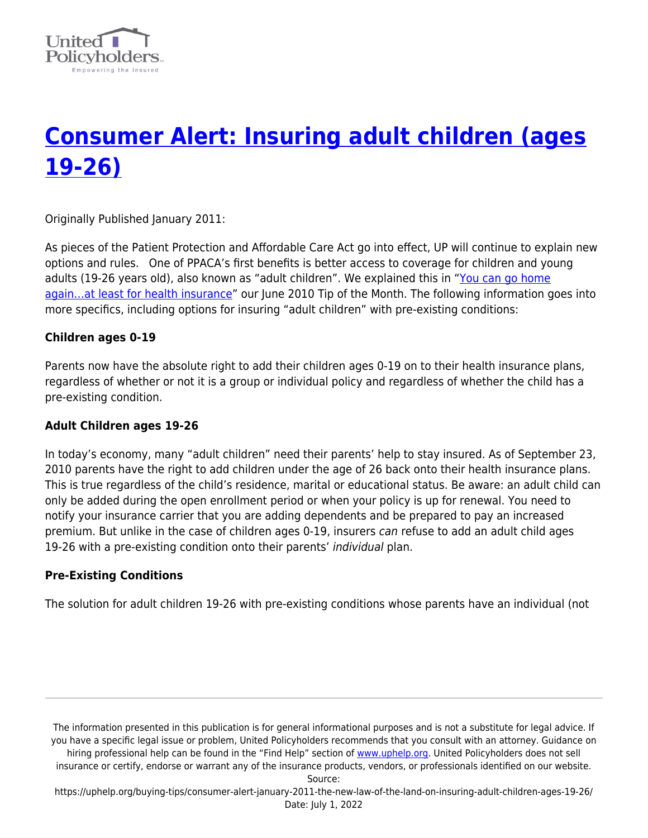

# **[Consumer Alert: Insuring adult children \(ages](https://uphelp.org/buying-tips/consumer-alert-january-2011-the-new-law-of-the-land-on-insuring-adult-children-ages-19-26/) [19-26\)](https://uphelp.org/buying-tips/consumer-alert-january-2011-the-new-law-of-the-land-on-insuring-adult-children-ages-19-26/)**

Originally Published January 2011:

As pieces of the Patient Protection and Affordable Care Act go into effect, UP will continue to explain new options and rules. One of PPACA's first benefits is better access to coverage for children and young adults (19-26 years old), also known as "adult children". We explained this in "[You can go home](https://uphelp.org/recent-graduates-you-can-go-home-again-at-least-for-health-insurance/) again...at least for health insurance" our June 2010 Tip of the Month. The following information goes into more specifics, including options for insuring "adult children" with pre-existing conditions:

### **Children ages 0-19**

Parents now have the absolute right to add their children ages 0-19 on to their health insurance plans, regardless of whether or not it is a group or individual policy and regardless of whether the child has a pre-existing condition.

#### **Adult Children ages 19-26**

In today's economy, many "adult children" need their parents' help to stay insured. As of September 23, 2010 parents have the right to add children under the age of 26 back onto their health insurance plans. This is true regardless of the child's residence, marital or educational status. Be aware: an adult child can only be added during the open enrollment period or when your policy is up for renewal. You need to notify your insurance carrier that you are adding dependents and be prepared to pay an increased premium. But unlike in the case of children ages 0-19, insurers can refuse to add an adult child ages 19-26 with a pre-existing condition onto their parents' individual plan.

## **Pre-Existing Conditions**

The solution for adult children 19-26 with pre-existing conditions whose parents have an individual (not

The information presented in this publication is for general informational purposes and is not a substitute for legal advice. If you have a specific legal issue or problem, United Policyholders recommends that you consult with an attorney. Guidance on hiring professional help can be found in the "Find Help" section of [www.uphelp.org.](http://www.uphelp.org/) United Policyholders does not sell insurance or certify, endorse or warrant any of the insurance products, vendors, or professionals identified on our website. Source:

https://uphelp.org/buying-tips/consumer-alert-january-2011-the-new-law-of-the-land-on-insuring-adult-children-ages-19-26/ Date: July 1, 2022